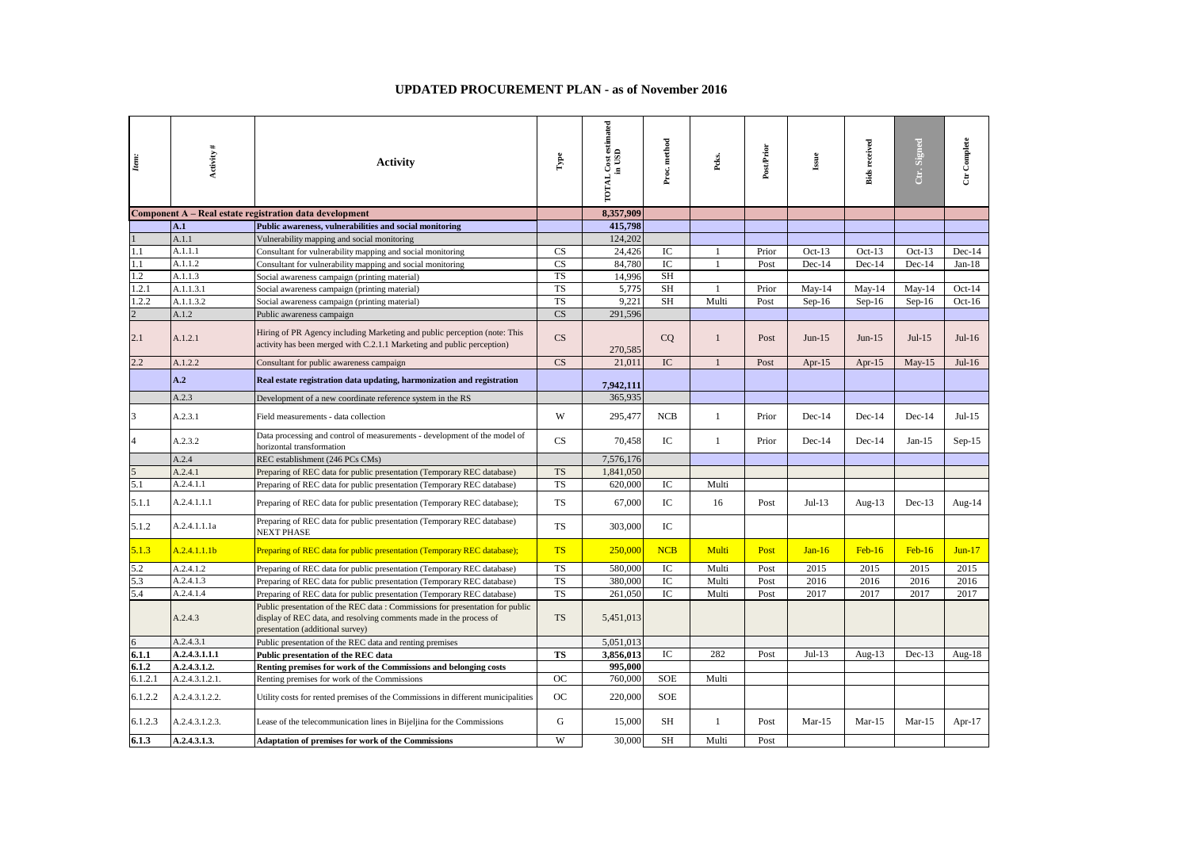## **UPDATED PROCUREMENT PLAN - as of November 2016**

| Item:          | Activity#      | <b>Activity</b>                                                                                                                                                                        | $\Gamma$               | estimated<br>in USD<br><b>TOTAL Cost</b> | Proc. method | Peks.        | PostPrior | $_{\rm issue}$ | <b>Bids received</b> | Ctr. Signed | Ctr Complete |
|----------------|----------------|----------------------------------------------------------------------------------------------------------------------------------------------------------------------------------------|------------------------|------------------------------------------|--------------|--------------|-----------|----------------|----------------------|-------------|--------------|
|                |                | Component A – Real estate registration data development                                                                                                                                |                        | 8.357.909                                |              |              |           |                |                      |             |              |
|                | A.1            | Public awareness, vulnerabilities and social monitoring                                                                                                                                |                        | 415.798                                  |              |              |           |                |                      |             |              |
|                | A.1.1          | Vulnerability mapping and social monitoring                                                                                                                                            |                        | 124.202                                  |              |              |           |                |                      |             |              |
| 1.1            | A.1.1.1        | Consultant for vulnerability mapping and social monitoring                                                                                                                             | CS                     | 24,426                                   | IC           | $\mathbf{1}$ | Prior     | $Oct-13$       | $Oct-13$             | $Oct-13$    | $Dec-14$     |
| 1.1            | A.1.1.2        | Consultant for vulnerability mapping and social monitoring                                                                                                                             | <b>CS</b>              | 84,780                                   | IC           | $\mathbf{1}$ | Post      | $Dec-14$       | $Dec-14$             | Dec-14      | $Jan-18$     |
| 1.2            | A.1.1.3        | Social awareness campaign (printing material)                                                                                                                                          | $\overline{\text{TS}}$ | 14,996                                   | SH           |              |           |                |                      |             |              |
| 1.2.1          | A.1.1.3.1      | Social awareness campaign (printing material)                                                                                                                                          | <b>TS</b>              | 5,775                                    | <b>SH</b>    |              | Prior     | $May-14$       | $May-14$             | $May-14$    | Oct- $14$    |
| 1.2.2          | A.1.1.3.2      | Social awareness campaign (printing material)                                                                                                                                          | <b>TS</b>              | 9,221                                    | <b>SH</b>    | Multi        | Post      | $Sep-16$       | $Sep-16$             | $Sep-16$    | Oct- $16$    |
| $\overline{2}$ | A.1.2          | Public awareness campaign                                                                                                                                                              | $\overline{\text{CS}}$ | 291,596                                  |              |              |           |                |                      |             |              |
| 2.1            | A.1.2.1        | Hiring of PR Agency including Marketing and public perception (note: This<br>activity has been merged with C.2.1.1 Marketing and public perception)                                    | CS                     | 270,585                                  | CO           | $\mathbf{1}$ | Post      | $Jun-15$       | $Jun-15$             | $Jul-15$    | $Jul-16$     |
| 2.2            | A.1.2.2        | Consultant for public awareness campaign                                                                                                                                               | CS                     | 21.011                                   | IC           | $\mathbf{1}$ | Post      | Apr- $15$      | Apr-15               | $May-15$    | $Jul-16$     |
|                | A.2            | Real estate registration data updating, harmonization and registration                                                                                                                 |                        | 7,942,111                                |              |              |           |                |                      |             |              |
|                | A.2.3          | Development of a new coordinate reference system in the RS                                                                                                                             |                        | 365,935                                  |              |              |           |                |                      |             |              |
| 3              | A.2.3.1        | Field measurements - data collection                                                                                                                                                   | W                      | 295,477                                  | NCB          | $\mathbf{1}$ | Prior     | $Dec-14$       | $Dec-14$             | $Dec-14$    | $Jul-15$     |
|                | A.2.3.2        | Data processing and control of measurements - development of the model of<br>horizontal transformation                                                                                 | CS                     | 70,458                                   | IC           | $\mathbf{1}$ | Prior     | $Dec-14$       | $Dec-14$             | $Jan-15$    | $Sep-15$     |
|                | A.2.4          | REC establishment (246 PCs CMs)                                                                                                                                                        |                        | 7,576,176                                |              |              |           |                |                      |             |              |
|                | A.2.4.1        | Preparing of REC data for public presentation (Temporary REC database)                                                                                                                 | <b>TS</b>              | 1,841,050                                |              |              |           |                |                      |             |              |
| 5.1            | A.2.4.1.1      | Preparing of REC data for public presentation (Temporary REC database)                                                                                                                 | <b>TS</b>              | 620,000                                  | IC           | Multi        |           |                |                      |             |              |
| 5.1.1          | A.2.4.1.1.1    | Preparing of REC data for public presentation (Temporary REC database);                                                                                                                | <b>TS</b>              | 67,000                                   | IC           | 16           | Post      | $Jul-13$       | Aug- $13$            | $Dec-13$    | Aug-14       |
| 5.1.2          | A.2.4.1.1.1a   | Preparing of REC data for public presentation (Temporary REC database)<br>NEXT PHASE                                                                                                   | <b>TS</b>              | 303,000                                  | $\rm{IC}$    |              |           |                |                      |             |              |
| 5.1.3          | A.2.4.1.1.1b   | Preparing of REC data for public presentation (Temporary REC database);                                                                                                                | <b>TS</b>              | 250,000                                  | NCB          | Multi        | Post      | $Jan-16$       | $Feb-16$             | $Feb-16$    | $Jun-17$     |
| 5.2            | A.2.4.1.2      | Preparing of REC data for public presentation (Temporary REC database)                                                                                                                 | <b>TS</b>              | 580,000                                  | IC           | Multi        | Post      | 2015           | 2015                 | 2015        | 2015         |
| 5.3            | A.2.4.1.3      | Preparing of REC data for public presentation (Temporary REC database)                                                                                                                 | <b>TS</b>              | 380,000                                  | IC           | Multi        | Post      | 2016           | 2016                 | 2016        | 2016         |
| 5.4            | A.2.4.1.4      | Preparing of REC data for public presentation (Temporary REC database)                                                                                                                 | <b>TS</b>              | 261,050                                  | IC           | Multi        | Post      | 2017           | 2017                 | 2017        | 2017         |
|                | A.2.4.3        | Public presentation of the REC data: Commissions for presentation for public<br>display of REC data, and resolving comments made in the process of<br>presentation (additional survey) | <b>TS</b>              | 5,451,013                                |              |              |           |                |                      |             |              |
| 6              | A.2.4.3.1      | Public presentation of the REC data and renting premises                                                                                                                               |                        | 5,051,013                                |              |              |           |                |                      |             |              |
| 6.1.1          | A.2.4.3.1.1.1  | Public presentation of the REC data                                                                                                                                                    | <b>TS</b>              | 3,856,013                                | IC           | 282          | Post      | $Jul-13$       | Aug- $13$            | $Dec-13$    | Aug- $18$    |
| 6.1.2          | A.2.4.3.1.2.   | Renting premises for work of the Commissions and belonging costs                                                                                                                       |                        | 995,000                                  |              |              |           |                |                      |             |              |
| 6.1.2.1        | A.2.4.3.1.2.1. | Renting premises for work of the Commissions                                                                                                                                           | OC                     | 760,000                                  | SOE          | Multi        |           |                |                      |             |              |
| 6.1.2.2        | A.2.4.3.1.2.2. | Utility costs for rented premises of the Commissions in different municipalities                                                                                                       | OC                     | 220,000                                  | <b>SOE</b>   |              |           |                |                      |             |              |
| 6.1.2.3        | A.2.4.3.1.2.3. | Lease of the telecommunication lines in Bijeljina for the Commissions                                                                                                                  | G                      | 15,000                                   | SH           | $\mathbf{1}$ | Post      | $Mar-15$       | $Mar-15$             | $Mar-15$    | Apr- $17$    |
| 6.1.3          | A.2.4.3.1.3.   | <b>Adaptation of premises for work of the Commissions</b>                                                                                                                              | W                      | 30,000                                   | SH           | Multi        | Post      |                |                      |             |              |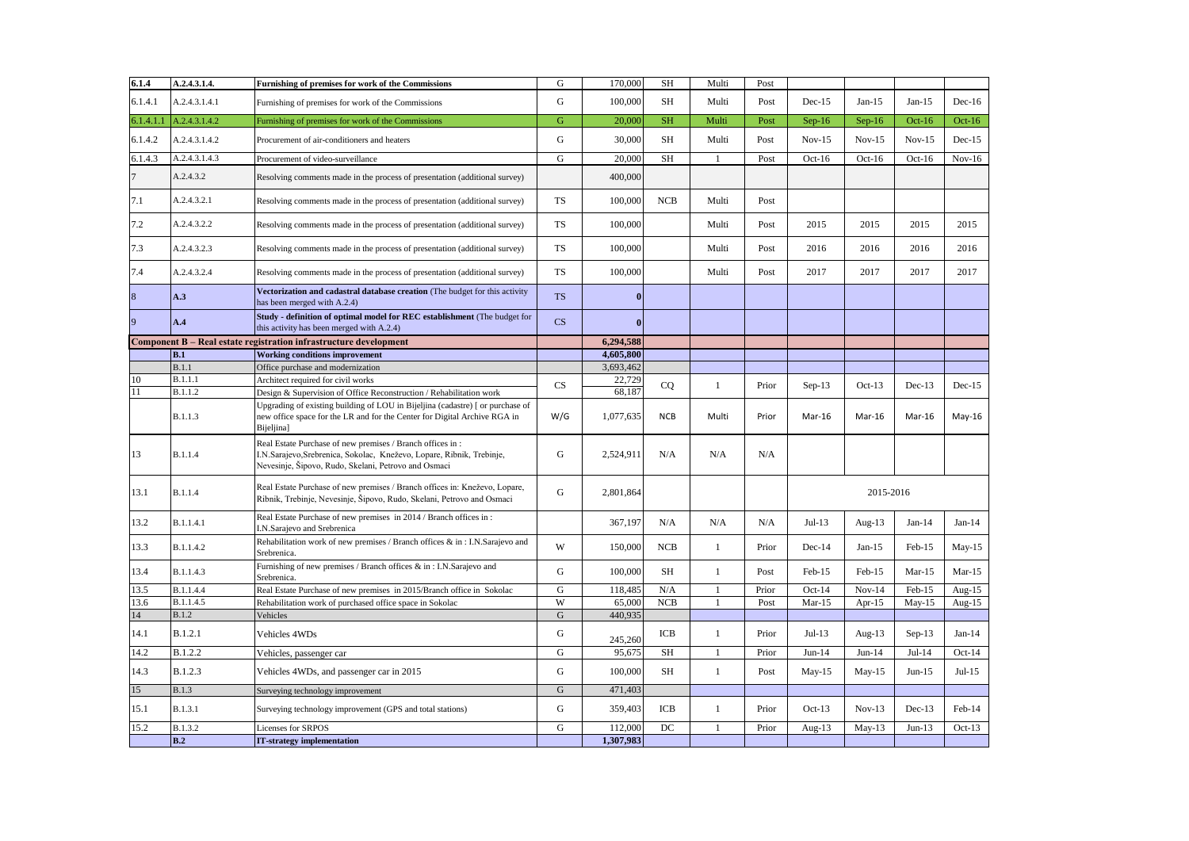| 6.1.4          | A.2.4.3.1.4.   | Furnishing of premises for work of the Commissions                                                                                                                                         | ${\bf G}$              | 170,000      | SH         | Multi          | Post  |           |           |           |           |
|----------------|----------------|--------------------------------------------------------------------------------------------------------------------------------------------------------------------------------------------|------------------------|--------------|------------|----------------|-------|-----------|-----------|-----------|-----------|
| 6.1.4.1        | A.2.4.3.1.4.1  | Furnishing of premises for work of the Commissions                                                                                                                                         | G                      | 100,000      | SH         | Multi          | Post  | $Dec-15$  | $Jan-15$  | $Jan-15$  | $Dec-16$  |
| 6.1.4.1.1      | A.2.4.3.1.4.2  | Furnishing of premises for work of the Commissions                                                                                                                                         | G                      | 20,000       | SH         | Multi          | Post  | $Sep-16$  | $Sep-16$  | Oct- $16$ | Oct- $16$ |
| 6.1.4.2        | A.2.4.3.1.4.2  | Procurement of air-conditioners and heaters                                                                                                                                                | G                      | 30,000       | SH         | Multi          | Post  | $Nov-15$  | $Nov-15$  | $Nov-15$  | $Dec-15$  |
| 6.1.4.3        | A.2.4.3.1.4.3  | G<br>Procurement of video-surveillance                                                                                                                                                     |                        | 20,000       | SH         | $\overline{1}$ | Post  | $Oct-16$  | $Oct-16$  | $Oct-16$  | $Nov-16$  |
| 7              | A.2.4.3.2      | Resolving comments made in the process of presentation (additional survey)                                                                                                                 |                        | 400,000      |            |                |       |           |           |           |           |
| 7.1            | A.2.4.3.2.1    | Resolving comments made in the process of presentation (additional survey)                                                                                                                 | TS                     | 100,000      | <b>NCB</b> | Multi          | Post  |           |           |           |           |
| 7.2            | A.2.4.3.2.2    | Resolving comments made in the process of presentation (additional survey)                                                                                                                 | TS                     | 100,000      |            | Multi          | Post  | 2015      | 2015      | 2015      | 2015      |
| 7.3            | A.2.4.3.2.3    | Resolving comments made in the process of presentation (additional survey)                                                                                                                 | <b>TS</b>              | 100,000      |            | Multi          | Post  | 2016      | 2016      | 2016      | 2016      |
| 7.4            | A.2.4.3.2.4    | Resolving comments made in the process of presentation (additional survey)                                                                                                                 | <b>TS</b>              | 100,000      |            | Multi          | Post  | 2017      | 2017      | 2017      | 2017      |
| 8              | A.3            | Vectorization and cadastral database creation (The budget for this activity<br>has been merged with A.2.4)                                                                                 | <b>TS</b>              | $\bf{0}$     |            |                |       |           |           |           |           |
| $\overline{9}$ | A.4            | Study - definition of optimal model for REC establishment (The budget for<br>this activity has been merged with A.2.4)                                                                     | $\mathbf{C}\mathbf{S}$ | $\mathbf{0}$ |            |                |       |           |           |           |           |
|                |                | Component B – Real estate registration infrastructure development                                                                                                                          |                        | 6,294,588    |            |                |       |           |           |           |           |
|                | B.1            | <b>Working conditions improvement</b>                                                                                                                                                      |                        | 4,605,800    |            |                |       |           |           |           |           |
|                | B.1.1          | Office purchase and modernization                                                                                                                                                          |                        | 3,693,462    |            |                |       |           |           |           |           |
| 10             | B.1.1.1        | Architect required for civil works                                                                                                                                                         | CS                     | 22,729       | CQ         | $\mathbf{1}$   | Prior | $Sep-13$  | Oct- $13$ | $Dec-13$  | $Dec-15$  |
| 11             | B.1.1.2        | Design & Supervision of Office Reconstruction / Rehabilitation work                                                                                                                        |                        | 68,187       |            |                |       |           |           |           |           |
|                | <b>B.1.1.3</b> | Upgrading of existing building of LOU in Bijeljina (cadastre) [ or purchase of<br>new office space for the LR and for the Center for Digital Archive RGA in<br>Bijeljina]                  | W/G                    | 1,077,635    | <b>NCB</b> | Multi          | Prior | Mar-16    | Mar-16    | Mar-16    | $May-16$  |
| 13             | <b>B.1.1.4</b> | Real Estate Purchase of new premises / Branch offices in:<br>I.N.Sarajevo, Srebrenica, Sokolac, Kneževo, Lopare, Ribnik, Trebinje,<br>Nevesinje, Šipovo, Rudo, Skelani, Petrovo and Osmaci | G                      | 2,524,911    | N/A        | N/A            | N/A   |           |           |           |           |
| 13.1           | B.1.1.4        | Real Estate Purchase of new premises / Branch offices in: Kneževo, Lopare,<br>Ribnik, Trebinje, Nevesinje, Šipovo, Rudo, Skelani, Petrovo and Osmaci                                       | G                      | 2,801,864    |            |                |       |           | 2015-2016 |           |           |
| 13.2           | B.1.1.4.1      | Real Estate Purchase of new premises in 2014 / Branch offices in:<br>I.N.Sarajevo and Srebrenica                                                                                           |                        | 367,197      | N/A        | N/A            | N/A   | $Jul-13$  | Aug-13    | $Jan-14$  | $Jan-14$  |
| 13.3           | B.1.1.4.2      | Rehabilitation work of new premises / Branch offices & in: I.N.Sarajevo and<br>Srebrenica.                                                                                                 | W                      | 150,000      | NCB        | $\mathbf{1}$   | Prior | $Dec-14$  | $Jan-15$  | Feb-15    | $May-15$  |
| 13.4           | B.1.1.4.3      | Furnishing of new premises / Branch offices & in : I.N.Sarajevo and<br>Srebrenica.                                                                                                         | G                      | 100,000      | SH         | $\mathbf{1}$   | Post  | Feb-15    | Feb-15    | $Mar-15$  | $Mar-15$  |
| 13.5           | B.1.1.4.4      | Real Estate Purchase of new premises in 2015/Branch office in Sokolac                                                                                                                      | ${\bf G}$              | 118,485      | N/A        | $\overline{1}$ | Prior | Oct-14    | $Nov-14$  | Feb-15    | Aug- $15$ |
| 13.6           | B.1.1.4.5      | Rehabilitation work of purchased office space in Sokolac                                                                                                                                   | W                      | 65,000       | NCB        | $\mathbf{1}$   | Post  | Mar- $15$ | Apr- $15$ | May-15    | Aug- $15$ |
| 14             | <b>B.1.2</b>   | Vehicles                                                                                                                                                                                   | ${\bf G}$              | 440,935      |            |                |       |           |           |           |           |
| 14.1           | B.1.2.1        | Vehicles 4WDs                                                                                                                                                                              | $\mathbf G$            | 245,260      | ICB        | $\mathbf{1}$   | Prior | $Jul-13$  | Aug- $13$ | $Sep-13$  | $Jan-14$  |
| 14.2           | <b>B.1.2.2</b> | Vehicles, passenger car                                                                                                                                                                    | G                      | 95,675       | SH         | $\mathbf{1}$   | Prior | $Jun-14$  | $Jun-14$  | $Jul-14$  | $Oct-14$  |
| 14.3           | B.1.2.3        | Vehicles 4WDs, and passenger car in 2015                                                                                                                                                   | G                      | 100,000      | <b>SH</b>  | $\mathbf{1}$   | Post  | $May-15$  | May-15    | $Jun-15$  | $Jul-15$  |
| 15             | <b>B.1.3</b>   | Surveying technology improvement                                                                                                                                                           | G                      | 471,403      |            |                |       |           |           |           |           |
| 15.1           | B.1.3.1        | Surveying technology improvement (GPS and total stations)                                                                                                                                  | G                      | 359,403      | ICB        | $\mathbf{1}$   | Prior | $Oct-13$  | $Nov-13$  | $Dec-13$  | Feb-14    |
| 15.2           | B.1.3.2        | Licenses for SRPOS                                                                                                                                                                         | ${\bf G}$              | 112,000      | DC         | 1              | Prior | Aug-13    | $May-13$  | $Jun-13$  | $Oct-13$  |
|                | B.2            | <b>IT-strategy implementation</b>                                                                                                                                                          |                        | 1,307,983    |            |                |       |           |           |           |           |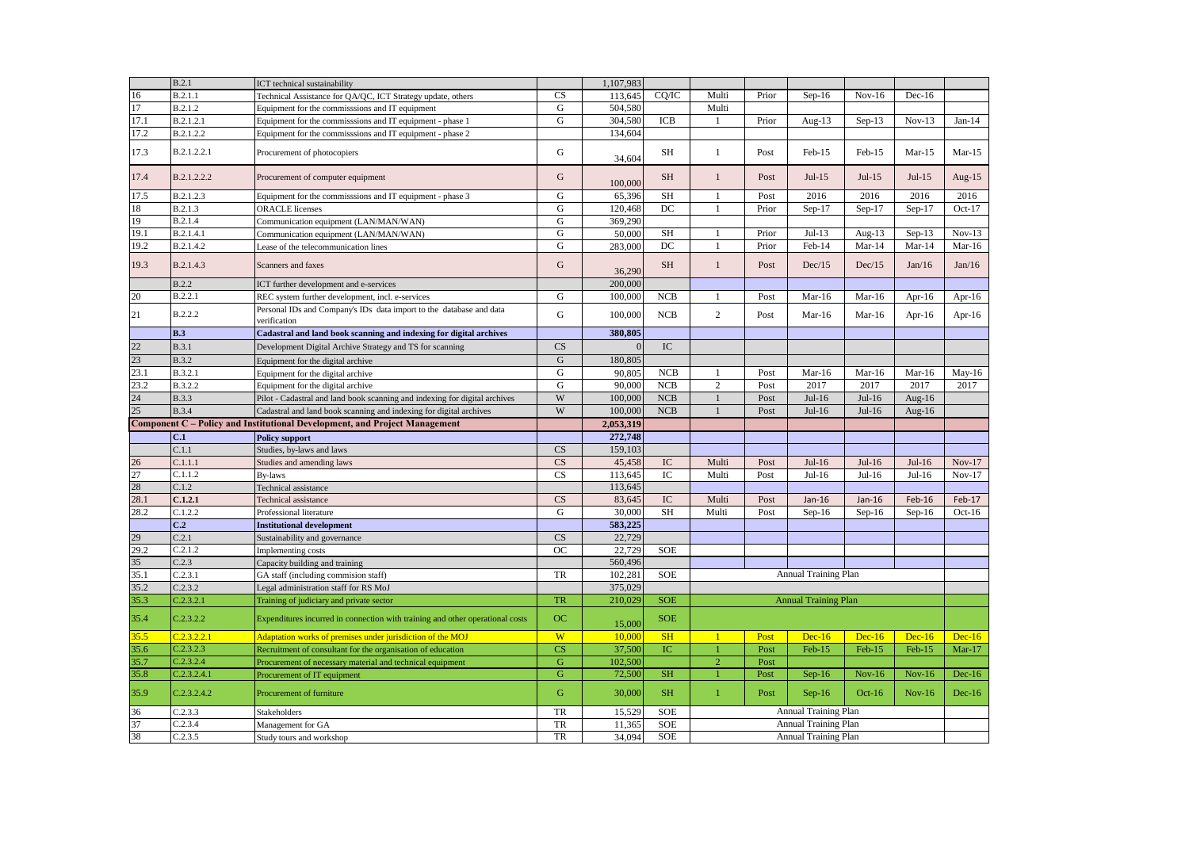|              | B.2.1                  | ICT technical sustainability                                                                                              |                 | 1,107,983          |                          |                |       |                             |           |           |           |
|--------------|------------------------|---------------------------------------------------------------------------------------------------------------------------|-----------------|--------------------|--------------------------|----------------|-------|-----------------------------|-----------|-----------|-----------|
| 16           | B.2.1.1                | Technical Assistance for QA/QC, ICT Strategy update, others                                                               | CS              | 113,645            | CO/IC                    | Multi          | Prior | $Sep-16$                    | $Nov-16$  | $Dec-16$  |           |
| 17           | B.2.1.2                | Equipment for the commisssions and IT equipment                                                                           | G               | 504,580            |                          | Multi          |       |                             |           |           |           |
| 17.1         | B.2.1.2.1              | Equipment for the commisssions and IT equipment - phase 1                                                                 | G               | 304,580            | ICB                      |                | Prior | Aug- $13$                   | $Sep-13$  | $Nov-13$  | $Jan-14$  |
| 17.2         | B.2.1.2.2              | Equipment for the commisssions and IT equipment - phase 2                                                                 |                 | 134,604            |                          |                |       |                             |           |           |           |
| 17.3         | B.2.1.2.2.1            | Procurement of photocopiers                                                                                               | G               | 34,604             | <b>SH</b>                | 1              | Post  | $Feb-15$                    | Feb-15    | $Mar-15$  | $Mar-15$  |
| 17.4         | B.2.1.2.2.2            | Procurement of computer equipment                                                                                         | G               | 100,000            | <b>SH</b>                | $\mathbf{1}$   | Post  | $Jul-15$                    | $Jul-15$  | $Jul-15$  | Aug- $15$ |
| 17.5         | B.2.1.2.3              | Equipment for the commisssions and IT equipment - phase 3                                                                 | G               | 65,396             | <b>SH</b>                |                | Post  | 2016                        | 2016      | 2016      | 2016      |
| 18           | <b>B.2.1.3</b>         | <b>ORACLE</b> licenses                                                                                                    | G               | 120,468            | DC                       |                | Prior | $Sep-17$                    | Sep-17    | $Sep-17$  | Oct- $17$ |
| 19           | <b>B.2.1.4</b>         | Communication equipment (LAN/MAN/WAN)                                                                                     | G               | 369,290            |                          |                |       |                             |           |           |           |
| 19.1         | B.2.1.4.1              | Communication equipment (LAN/MAN/WAN)                                                                                     | $\mathbf G$     | 50,000             | SH                       | $\mathbf{1}$   | Prior | $Jul-13$                    | Aug- $13$ | $Sep-13$  | $Nov-13$  |
| 19.2         | B.2.1.4.2              | Lease of the telecommunication lines                                                                                      | G               | 283,000            | DC                       |                | Prior | Feb-14                      | $Mar-14$  | $Mar-14$  | $Mar-16$  |
| 19.3         | B.2.1.4.3              | Scanners and faxes                                                                                                        | G               | 36,290             | <b>SH</b>                | $\mathbf{1}$   | Post  | Dec/15                      | Dec/15    | Jan/16    | Jan/16    |
|              | <b>B.2.2</b>           | ICT further development and e-services                                                                                    |                 | 200,000            |                          |                |       |                             |           |           |           |
| 20           | B.2.2.1                | REC system further development, incl. e-services                                                                          | G               | 100,000            | <b>NCB</b>               | 1              | Post  | Mar-16                      | $Mar-16$  | Apr- $16$ | Apr- $16$ |
| 21           | B.2.2.2                | Personal IDs and Company's IDs data import to the database and data<br>verification                                       | G               | 100,000            | <b>NCB</b>               | $\overline{2}$ | Post  | $Mar-16$                    | $Mar-16$  | Apr-16    | Apr- $16$ |
|              | B.3                    | Cadastral and land book scanning and indexing for digital archives                                                        |                 | 380,805            |                          |                |       |                             |           |           |           |
| 22           | <b>B.3.1</b>           | Development Digital Archive Strategy and TS for scanning                                                                  | CS              | $\mathbf{0}$       | IC                       |                |       |                             |           |           |           |
| 23           | <b>B.3.2</b>           | Equipment for the digital archive                                                                                         | $\mathbf G$     | 180,805            |                          |                |       |                             |           |           |           |
| 23.1         | B.3.2.1                | Equipment for the digital archive                                                                                         | G               | 90,805             | NCB                      | $\mathbf{1}$   | Post  | $Mar-16$                    | $Mar-16$  | $Mar-16$  | $May-16$  |
| 23.2         | B.3.2.2                | Equipment for the digital archive                                                                                         | G               | 90,000             | <b>NCB</b>               | 2              | Post  | 2017                        | 2017      | 2017      | 2017      |
| 24           | <b>B.3.3</b>           | Pilot - Cadastral and land book scanning and indexing for digital archives                                                | W               | 100,000            | NCB                      | 1              | Post  | $Jul-16$                    | $Jul-16$  | Aug- $16$ |           |
| 25           | <b>B.3.4</b>           | Cadastral and land book scanning and indexing for digital archives                                                        | W               | 100,000            | NCB                      | $\mathbf{1}$   | Post  | $Jul-16$                    | $Jul-16$  | Aug-16    |           |
|              |                        | Component C - Policy and Institutional Development, and Project Management                                                |                 | 2,053,319          |                          |                |       |                             |           |           |           |
|              | C.1                    | <b>Policy support</b>                                                                                                     |                 | 272,748            |                          |                |       |                             |           |           |           |
|              | C.1.1                  | Studies, by-laws and laws                                                                                                 | CS              | 159,103            |                          |                |       |                             |           |           |           |
| 26           | C.1.1.1                | Studies and amending laws                                                                                                 | CS              | 45,458             | IC                       | Multi          | Post  | $Jul-16$                    | $Jul-16$  | $Jul-16$  | $Nov-17$  |
| 27           | C.1.1.2                | <b>By-laws</b>                                                                                                            | CS              | 113,645            | IC                       | Multi          | Post  | $Jul-16$                    | $Jul-16$  | $Jul-16$  | $Nov-17$  |
| 28           | C.1.2                  | Technical assistance                                                                                                      |                 | 113,645            |                          |                |       |                             |           |           |           |
| 28.1         | C.1.2.1                | Technical assistance                                                                                                      | CS              | 83,645             | IC                       | Multi          | Post  | $Jan-16$                    | $Jan-16$  | Feb-16    | $Feb-17$  |
| 28.2         | C.1.2.2                | Professional literature                                                                                                   | G               | 30,000             | SH                       | Multi          | Post  | $Sep-16$                    | $Sep-16$  | $Sep-16$  | $Oct-16$  |
|              | C.2                    | <b>Institutional development</b>                                                                                          |                 | 583,225            |                          |                |       |                             |           |           |           |
| 29           | C.2.1                  |                                                                                                                           | CS              | 22,729             |                          |                |       |                             |           |           |           |
| 29.2         | C.2.1.2                | Sustainability and governance                                                                                             | OC              | 22,729             | <b>SOE</b>               |                |       |                             |           |           |           |
| 35           | C.2.3                  | Implementing costs<br>Capacity building and training                                                                      |                 | 560,496            |                          |                |       |                             |           |           |           |
| 35.1         | C.2.3.1                |                                                                                                                           | <b>TR</b>       | 102,281            | <b>SOE</b>               |                |       | <b>Annual Training Plan</b> |           |           |           |
| 35.2         | C.2.3.2                | GA staff (including commision staff)                                                                                      |                 |                    |                          |                |       |                             |           |           |           |
|              |                        | Legal administration staff for RS MoJ                                                                                     |                 | 375,029<br>210,029 |                          |                |       |                             |           |           |           |
| 35.3<br>35.4 | C.2.3.2.1<br>C.2.3.2.2 | Training of judiciary and private sector<br>Expenditures incurred in connection with training and other operational costs | <b>TR</b><br>OC |                    | <b>SOE</b><br><b>SOE</b> |                |       | <b>Annual Training Plan</b> |           |           |           |
| 35.5         | C.2.3.2.2.1            | Adaptation works of premises under jurisdiction of the MOJ                                                                | W               | 15,000<br>10,000   | SH                       | $\overline{1}$ | Post  | $Dec-16$                    | $Dec-16$  | $Dec-16$  | $Dec-16$  |
|              | C.2.3.2.3              |                                                                                                                           | CS              | 37,500             | IC                       |                | Post  | $Feb-15$                    |           |           |           |
| 35.6<br>35.7 | C.2.3.2.4              | Recruitment of consultant for the organisation of education                                                               | ${\bf G}$       | 102,500            |                          | $\overline{2}$ | Post  |                             | Feb-15    | Feb-15    | $Mar-17$  |
|              |                        | Procurement of necessary material and technical equipment                                                                 | $\mathbf G$     |                    |                          |                |       |                             |           |           |           |
| 35.8         | C.2.3.2.4.1            | Procurement of IT equipment                                                                                               |                 | 72,500             | <b>SH</b>                |                | Post  | $Sep-16$                    | $Nov-16$  | $Nov-16$  | $Dec-16$  |
| 35.9         | C.2.3.2.4.2            | Procurement of furniture                                                                                                  | G               | 30,000             | <b>SH</b>                | $\mathbf{1}$   | Post  | $Sep-16$                    | $Oct-16$  | $Nov-16$  | $Dec-16$  |
| 36           | C.2.3.3                | Stakeholders                                                                                                              | TR              | 15,529             | <b>SOE</b>               |                |       | Annual Training Plan        |           |           |           |
| 37           | C.2.3.4                | Management for GA                                                                                                         | TR              | 11,365             | SOE                      |                |       | Annual Training Plan        |           |           |           |
| 38           | C.2.3.5                | Study tours and workshop                                                                                                  | TR              | 34,094             | <b>SOE</b>               |                |       | Annual Training Plan        |           |           |           |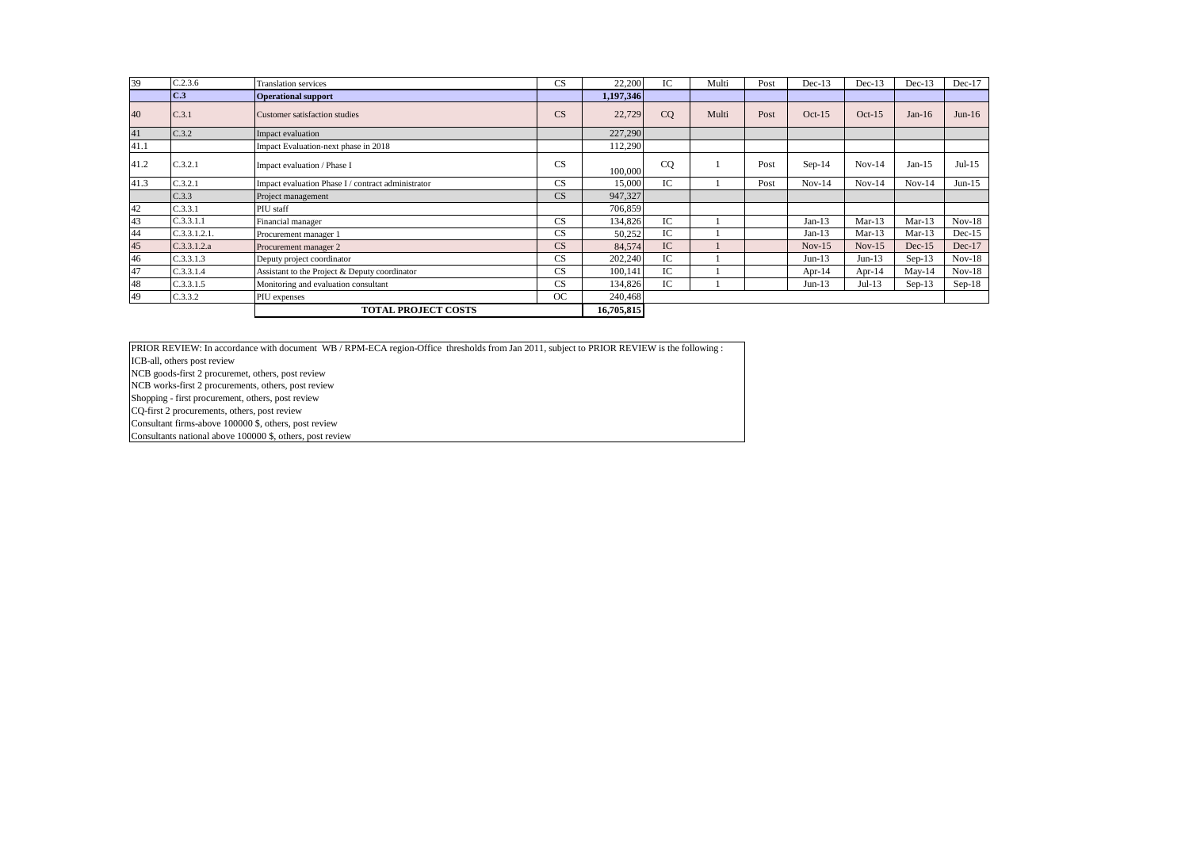| 39   | C.2.3.6      | <b>Translation services</b>                        | CS        | 22,200     | IС  | Multi | Post | $Dec-13$  | $Dec-13$ | $Dec-13$ | $Dec-17$ |
|------|--------------|----------------------------------------------------|-----------|------------|-----|-------|------|-----------|----------|----------|----------|
|      | C.3          | <b>Operational support</b>                         |           | 1,197,346  |     |       |      |           |          |          |          |
| 40   | C.3.1        | Customer satisfaction studies                      | CS        | 22,729     | CO  | Multi | Post | $Oct-15$  | $Oct-15$ | Jan-16   | $Jun-16$ |
| 41   | C.3.2        | Impact evaluation                                  |           | 227,290    |     |       |      |           |          |          |          |
| 41.1 |              | Impact Evaluation-next phase in 2018               |           | 112,290    |     |       |      |           |          |          |          |
| 41.2 | C.3.2.1      | Impact evaluation / Phase I                        | CS        | 100,000    | CQ  |       | Post | $Sep-14$  | $Nov-14$ | $Jan-15$ | $Jul-15$ |
| 41.3 | C.3.2.1      | Impact evaluation Phase I / contract administrator | <b>CS</b> | 15,000     | IC  |       | Post | $Nov-14$  | $Nov-14$ | $Nov-14$ | $Jun-15$ |
|      | C.3.3        | Project management                                 | CS        | 947,327    |     |       |      |           |          |          |          |
| 42   | C.3.3.1      | PIU staff                                          |           | 706,859    |     |       |      |           |          |          |          |
| 43   | C.3.3.1.1    | Financial manager                                  | CS        | 134,826    | IC. |       |      | $Jan-13$  | $Mar-13$ | $Mar-13$ | $Nov-18$ |
| 44   | C.3.3.1.2.1. | Procurement manager 1                              | CS        | 50,252     | IC  |       |      | $Jan-13$  | $Mar-13$ | $Mar-13$ | $Dec-15$ |
| 45   | C.3.3.1.2.a  | Procurement manager 2                              | CS        | 84,574     | IC  |       |      | $Nov-15$  | $Nov-15$ | $Dec-15$ | $Dec-17$ |
| 46   | C.3.3.1.3    | Deputy project coordinator                         | CS        | 202,240    | IC  |       |      | $Jun-13$  | $Jun-13$ | $Sep-13$ | $Nov-18$ |
| 47   | C.3.3.1.4    | Assistant to the Project & Deputy coordinator      | <b>CS</b> | 100.141    | IC  |       |      | Apr- $14$ | Apr-14   | $May-14$ | $Nov-18$ |
| 48   | C.3.3.1.5    | Monitoring and evaluation consultant               | CS        | 134,826    | IC  |       |      | Jun-13    | $Jul-13$ | $Sep-13$ | $Sep-18$ |
| 49   | C.3.3.2      | PIU expenses                                       | OC        | 240,468    |     |       |      |           |          |          |          |
|      |              | <b>TOTAL PROJECT COSTS</b>                         |           | 16,705,815 |     |       |      |           |          |          |          |

PRIOR REVIEW: In accordance with document WB / RPM-ECA region-Office thresholds from Jan 2011, subject to PRIOR REVIEW is the following :

ICB-all, others post review

NCB goods-first 2 procuremet, others, post review

NCB works-first 2 procurements, others, post review

Shopping - first procurement, others, post review

CQ-first 2 procurements, others, post review

Consultant firms-above 100000 \$, others, post review

Consultants national above 100000 \$, others, post review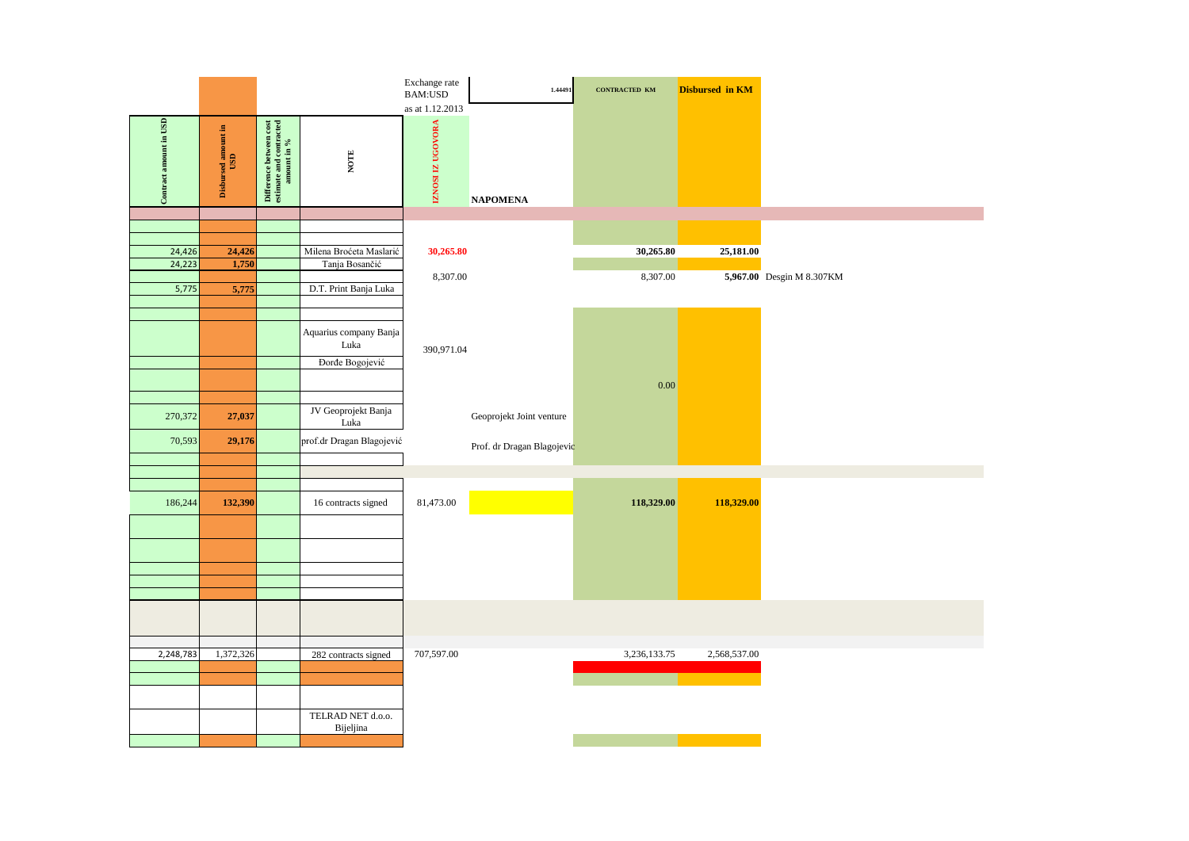|                        |                            |                                                                                                                                                                           |                                | Exchange rate<br><b>BAM:USD</b>      | 1.44491                    | CONTRACTED KM | <b>Disbursed in KM</b> |                           |
|------------------------|----------------------------|---------------------------------------------------------------------------------------------------------------------------------------------------------------------------|--------------------------------|--------------------------------------|----------------------------|---------------|------------------------|---------------------------|
| Contract amount in USD | Disbursed amount in<br>USD | $\begin{tabular}{ p } \hline \hline \textbf{Difference between cost} \\ \hline \textbf{estimate and contracted} \\ \hline \textbf{an} \textbf{count in }\% \end{tabular}$ | $_{\rm NOTE}$                  | as at 1.12.2013<br>IZNOSI IZ UGOVORA | <b>NAPOMENA</b>            |               |                        |                           |
|                        |                            |                                                                                                                                                                           |                                |                                      |                            |               |                        |                           |
|                        |                            |                                                                                                                                                                           |                                |                                      |                            |               |                        |                           |
| 24,426                 | 24,426                     |                                                                                                                                                                           | Milena Broćeta Maslarić        | 30,265.80                            |                            | 30,265.80     | 25,181.00              |                           |
| 24,223                 | 1,750                      |                                                                                                                                                                           | Tanja Bosančić                 |                                      |                            |               |                        |                           |
|                        |                            |                                                                                                                                                                           |                                | 8,307.00                             |                            | 8,307.00      |                        | 5,967.00 Desgin M 8.307KM |
| 5,775                  | 5,775                      |                                                                                                                                                                           | D.T. Print Banja Luka          |                                      |                            |               |                        |                           |
|                        |                            |                                                                                                                                                                           |                                |                                      |                            |               |                        |                           |
|                        |                            |                                                                                                                                                                           | Aquarius company Banja         |                                      |                            |               |                        |                           |
|                        |                            |                                                                                                                                                                           | Luka                           | 390,971.04                           |                            |               |                        |                           |
|                        |                            |                                                                                                                                                                           | Đorđe Bogojević                |                                      |                            |               |                        |                           |
|                        |                            |                                                                                                                                                                           |                                |                                      |                            |               |                        |                           |
|                        |                            |                                                                                                                                                                           |                                |                                      |                            | 0.00          |                        |                           |
|                        |                            |                                                                                                                                                                           | JV Geoprojekt Banja            |                                      |                            |               |                        |                           |
| 270,372                | 27,037                     |                                                                                                                                                                           | Luka                           |                                      | Geoprojekt Joint venture   |               |                        |                           |
| 70,593                 | 29,176                     |                                                                                                                                                                           | prof.dr Dragan Blagojević      |                                      |                            |               |                        |                           |
|                        |                            |                                                                                                                                                                           |                                |                                      | Prof. dr Dragan Blagojevic |               |                        |                           |
|                        |                            |                                                                                                                                                                           |                                |                                      |                            |               |                        |                           |
|                        |                            |                                                                                                                                                                           |                                |                                      |                            |               |                        |                           |
| 186,244                | 132,390                    |                                                                                                                                                                           | 16 contracts signed            | 81,473.00                            |                            | 118,329.00    | 118,329.00             |                           |
|                        |                            |                                                                                                                                                                           |                                |                                      |                            |               |                        |                           |
|                        |                            |                                                                                                                                                                           |                                |                                      |                            |               |                        |                           |
|                        |                            |                                                                                                                                                                           |                                |                                      |                            |               |                        |                           |
|                        |                            |                                                                                                                                                                           |                                |                                      |                            |               |                        |                           |
|                        |                            |                                                                                                                                                                           |                                |                                      |                            |               |                        |                           |
|                        |                            |                                                                                                                                                                           |                                |                                      |                            |               |                        |                           |
|                        |                            |                                                                                                                                                                           |                                |                                      |                            |               |                        |                           |
|                        |                            |                                                                                                                                                                           |                                |                                      |                            |               |                        |                           |
|                        |                            |                                                                                                                                                                           |                                |                                      |                            |               |                        |                           |
| 2,248,783              | 1,372,326                  |                                                                                                                                                                           | 282 contracts signed           | 707,597.00                           |                            | 3,236,133.75  | 2,568,537.00           |                           |
|                        |                            |                                                                                                                                                                           |                                |                                      |                            |               |                        |                           |
|                        |                            |                                                                                                                                                                           |                                |                                      |                            |               |                        |                           |
|                        |                            |                                                                                                                                                                           |                                |                                      |                            |               |                        |                           |
|                        |                            |                                                                                                                                                                           | TELRAD NET d.o.o.<br>Bijeljina |                                      |                            |               |                        |                           |
|                        |                            |                                                                                                                                                                           |                                |                                      |                            |               |                        |                           |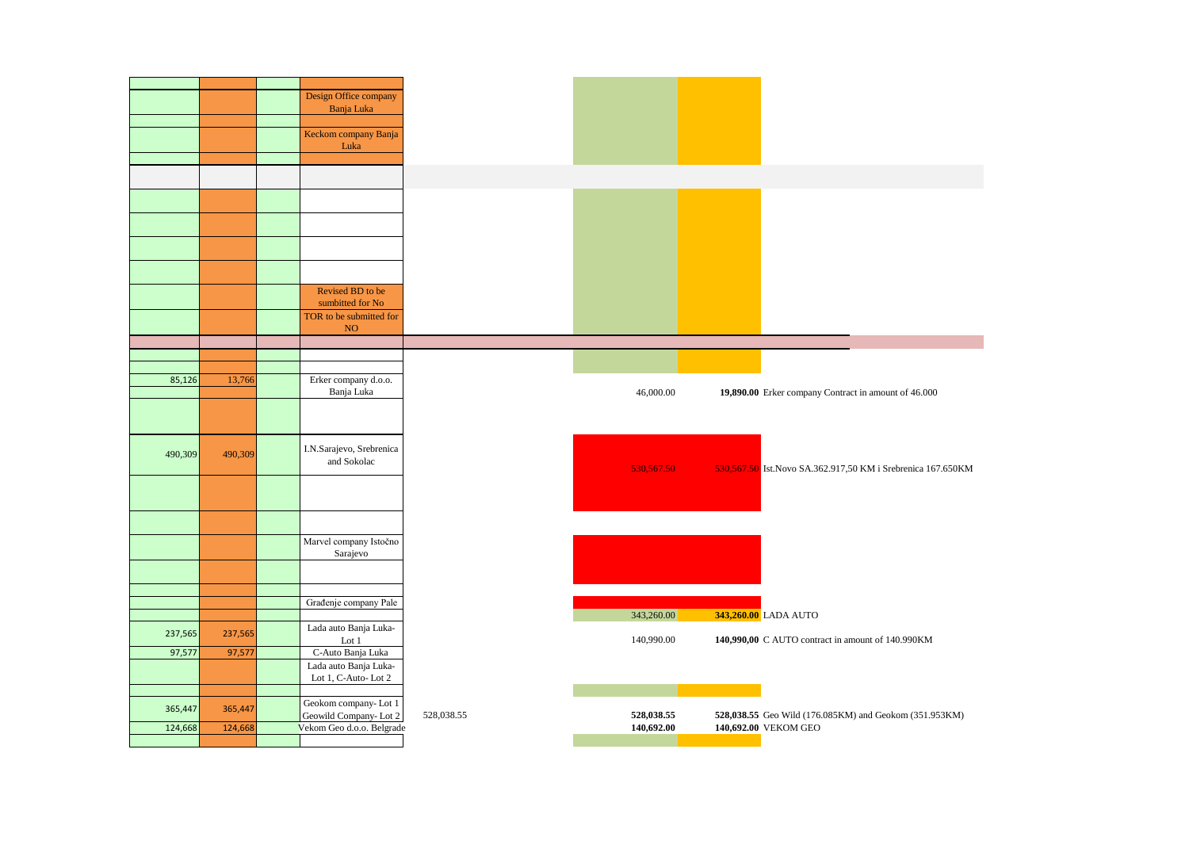|         |         | Design Office company                              |
|---------|---------|----------------------------------------------------|
|         |         | Banja Luka                                         |
|         |         |                                                    |
|         |         | Keckom company Banja                               |
|         |         | Luka                                               |
|         |         |                                                    |
|         |         |                                                    |
|         |         |                                                    |
|         |         |                                                    |
|         |         |                                                    |
|         |         |                                                    |
|         |         |                                                    |
|         |         |                                                    |
|         |         |                                                    |
|         |         |                                                    |
|         |         | Revised BD to be                                   |
|         |         | sumbitted for No                                   |
|         |         | TOR to be submitted for                            |
|         |         | NO <sub>1</sub>                                    |
|         |         |                                                    |
|         |         |                                                    |
|         |         |                                                    |
| 85,126  | 13,766  | Erker company d.o.o.                               |
|         |         | Banja Luka                                         |
|         |         |                                                    |
|         |         |                                                    |
|         |         |                                                    |
| 490,309 | 490,309 | I.N.Sarajevo, Srebrenica                           |
|         |         | and Sokolac                                        |
|         |         |                                                    |
|         |         |                                                    |
|         |         |                                                    |
|         |         |                                                    |
|         |         |                                                    |
|         |         | Marvel company Istočno                             |
|         |         | Sarajevo                                           |
|         |         |                                                    |
|         |         |                                                    |
|         |         |                                                    |
|         |         | Građenje company Pale                              |
|         |         | Lada auto Banja Luka-                              |
| 237,565 | 237,565 | Lot 1                                              |
| 97,577  | 97,577  | C-Auto Banja Luka                                  |
|         |         | Lada auto Banja Luka-                              |
|         |         | Lot 1, C-Auto-Lot 2                                |
|         |         |                                                    |
|         |         | Geokom company-Lot 1                               |
| 365,447 | 365,447 |                                                    |
|         |         |                                                    |
| 124,668 | 124,668 | Geowild Company-Lot 2<br>Vekom Geo d.o.o. Belgrade |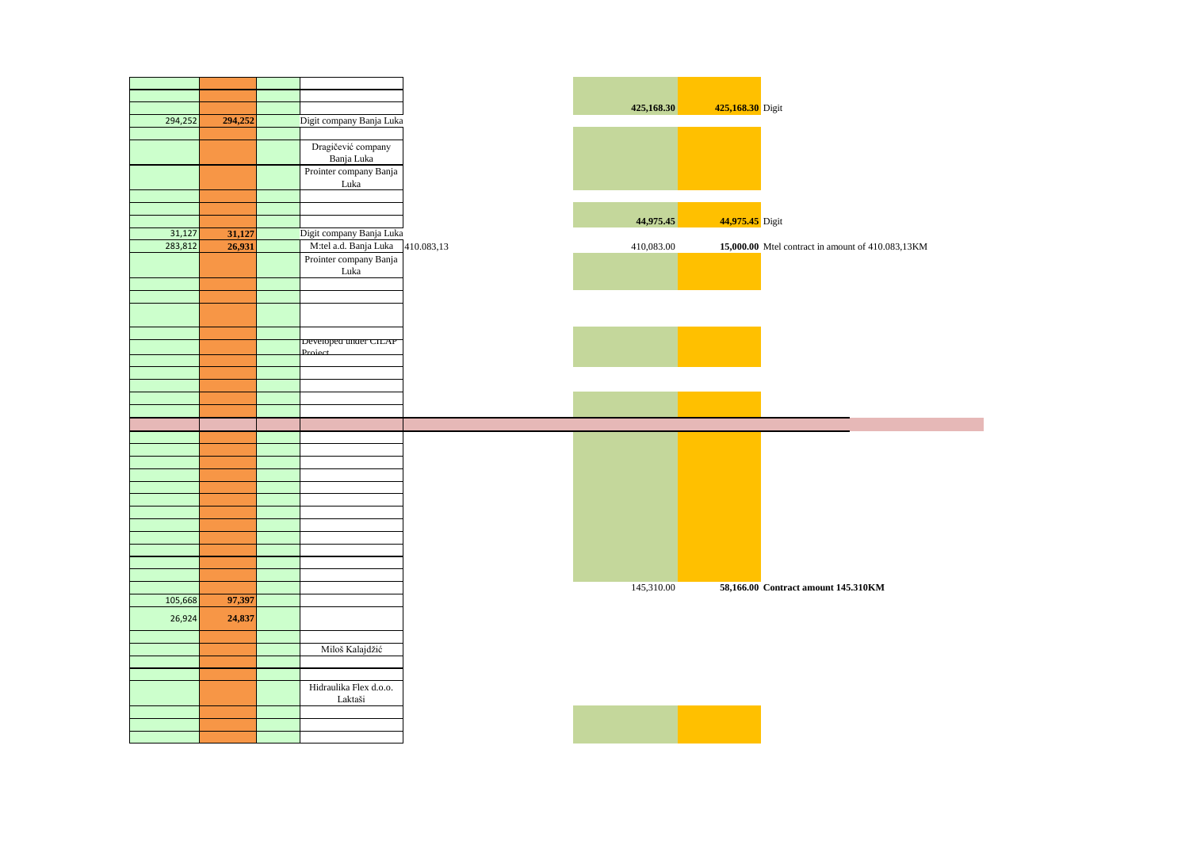| 294,252 | 294,252 | Digit company Banja Luka |            | 425,168.30 | 425,168.30 Digit                                  |
|---------|---------|--------------------------|------------|------------|---------------------------------------------------|
|         |         |                          |            |            |                                                   |
|         |         | Dragičević company       |            |            |                                                   |
|         |         | Banja Luka               |            |            |                                                   |
|         |         | Prointer company Banja   |            |            |                                                   |
|         |         | Luka                     |            |            |                                                   |
|         |         |                          |            |            |                                                   |
|         |         |                          |            |            |                                                   |
|         |         |                          |            | 44,975.45  | 44,975.45 Digit                                   |
| 31,127  | 31,127  | Digit company Banja Luka |            |            |                                                   |
| 283,812 | 26,931  | M:tel a.d. Banja Luka    | 410.083,13 | 410,083.00 | 15,000.00 Mtel contract in amount of 410.083,13KM |
|         |         | Prointer company Banja   |            |            |                                                   |
|         |         | Luka                     |            |            |                                                   |
|         |         |                          |            |            |                                                   |
|         |         |                          |            |            |                                                   |
|         |         |                          |            |            |                                                   |
|         |         |                          |            |            |                                                   |
|         |         | Developed under CILAP    |            |            |                                                   |
|         |         |                          |            |            |                                                   |
|         |         |                          |            |            |                                                   |
|         |         |                          |            |            |                                                   |
|         |         |                          |            |            |                                                   |
|         |         |                          |            |            |                                                   |
|         |         |                          |            |            |                                                   |
|         |         |                          |            |            |                                                   |
|         |         |                          |            |            |                                                   |
|         |         |                          |            |            |                                                   |
|         |         |                          |            |            |                                                   |
|         |         |                          |            |            |                                                   |
|         |         |                          |            |            |                                                   |
|         |         |                          |            |            |                                                   |
|         |         |                          |            |            |                                                   |
|         |         |                          |            |            |                                                   |
|         |         |                          |            |            |                                                   |
|         |         |                          |            |            |                                                   |
|         |         |                          |            | 145,310.00 | 58,166.00 Contract amount 145.310KM               |
|         |         |                          |            |            |                                                   |
| 105,668 | 97,397  |                          |            |            |                                                   |
| 26,924  | 24,837  |                          |            |            |                                                   |
|         |         |                          |            |            |                                                   |
|         |         |                          |            |            |                                                   |
|         |         | Miloš Kalajdžić          |            |            |                                                   |
|         |         |                          |            |            |                                                   |
|         |         | Hidraulika Flex d.o.o.   |            |            |                                                   |
|         |         | Laktaši                  |            |            |                                                   |
|         |         |                          |            |            |                                                   |
|         |         |                          |            |            |                                                   |